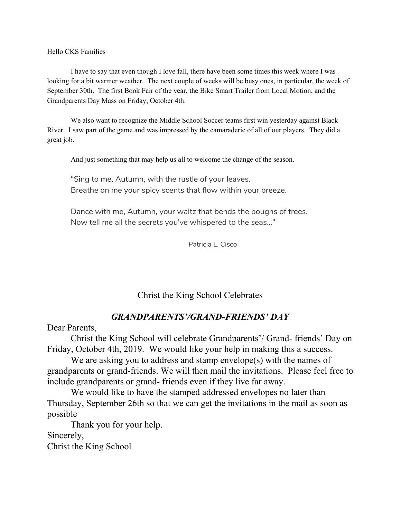Hello CKS Families

I have to say that even though I love fall, there have been some times this week where I was looking for a bit warmer weather. The next couple of weeks will be busy ones, in particular, the week of September 30th. The first Book Fair of the year, the Bike Smart Trailer from Local Motion, and the Grandparents Day Mass on Friday, October 4th.

We also want to recognize the Middle School Soccer teams first win yesterday against Black River. I saw part of the game and was impressed by the camaraderie of all of our players. They did a great job.

And just something that may help us all to welcome the change of the season.

"Sing to me, Autumn, with the rustle of your leaves. Breathe on me your spicy scents that flow within your breeze.

Dance with me, Autumn, your waltz that bends the boughs of trees. Now tell me all the secrets you've whispered to the seas…"

Patricia L. Cisco

## Christ the King School Celebrates

## *GRANDPARENTS'/GRAND-FRIENDS' DAY*

Dear Parents,

Christ the King School will celebrate Grandparents'/ Grand- friends' Day on Friday, October 4th, 2019. We would like your help in making this a success.

We are asking you to address and stamp envelope(s) with the names of grandparents or grand-friends. We will then mail the invitations. Please feel free to include grandparents or grand- friends even if they live far away.

We would like to have the stamped addressed envelopes no later than Thursday, September 26th so that we can get the invitations in the mail as soon as possible

Thank you for your help. Sincerely,

Christ the King School